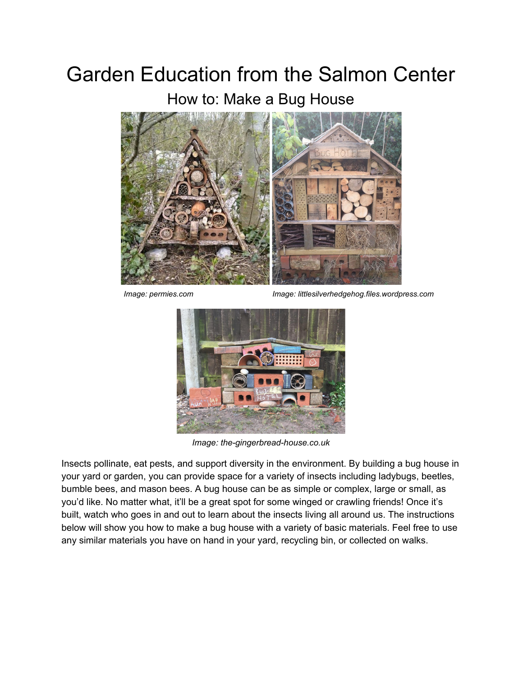## Garden Education from the Salmon Center

How to: Make a Bug House



 *Image: permies.com Image: littlesilverhedgehog.files.wordpress.com*



*Image: the-gingerbread-house.co.uk*

Insects pollinate, eat pests, and support diversity in the environment. By building a bug house in your yard or garden, you can provide space for a variety of insects including ladybugs, beetles, bumble bees, and mason bees. A bug house can be as simple or complex, large or small, as you'd like. No matter what, it'll be a great spot for some winged or crawling friends! Once it's built, watch who goes in and out to learn about the insects living all around us. The instructions below will show you how to make a bug house with a variety of basic materials. Feel free to use any similar materials you have on hand in your yard, recycling bin, or collected on walks.